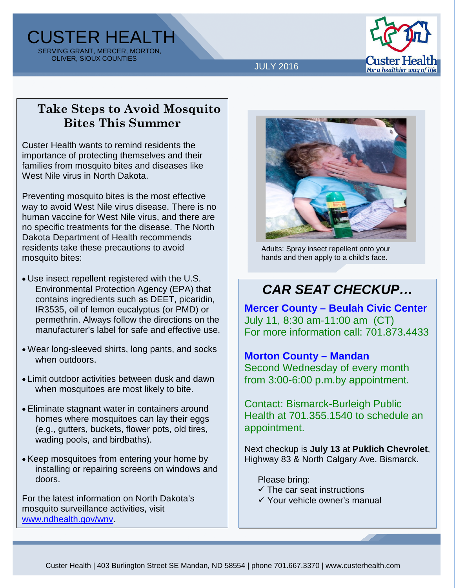CUSTER HEALTH SERVING GRANT, MERCER, MORTON, OLIVER, SIOUX COUNTIES



JULY 2016

## **Take Steps to Avoid Mosquito Bites This Summer**

Custer Health wants to remind residents the importance of protecting themselves and their families from mosquito bites and diseases like West Nile virus in North Dakota.

Preventing mosquito bites is the most effective way to avoid West Nile virus disease. There is no human vaccine for West Nile virus, and there are no specific treatments for the disease. The North Dakota Department of Health recommends residents take these precautions to avoid mosquito bites:

- Use insect repellent registered with the U.S. Environmental Protection Agency (EPA) that contains ingredients such as DEET, picaridin, IR3535, oil of lemon eucalyptus (or PMD) or permethrin. Always follow the directions on the manufacturer's label for safe and effective use.
- Wear long-sleeved shirts, long pants, and socks when outdoors.
- Limit outdoor activities between dusk and dawn when mosquitoes are most likely to bite.
- Eliminate stagnant water in containers around homes where mosquitoes can lay their eggs (e.g., gutters, buckets, flower pots, old tires, wading pools, and birdbaths).
- Keep mosquitoes from entering your home by installing or repairing screens on windows and doors.

For the latest information on North Dakota's mosquito surveillance activities, visit www.ndhealth.gov/wnv.



Adults: Spray insect repellent onto your hands and then apply to a child's face.

# *CAR SEAT CHECKUP…*

**Mercer County – Beulah Civic Center** July 11, 8:30 am-11:00 am (CT) For more information call: 701.873.4433

### **Morton County – Mandan**

Second Wednesday of every month from 3:00-6:00 p.m.by appointment.

Contact: Bismarck-Burleigh Public Health at 701.355.1540 to schedule an appointment.

Next checkup is **July 13** at **Puklich Chevrolet**, Highway 83 & North Calgary Ave. Bismarck.

Please bring:

- $\checkmark$  The car seat instructions
- Your vehicle owner's manual